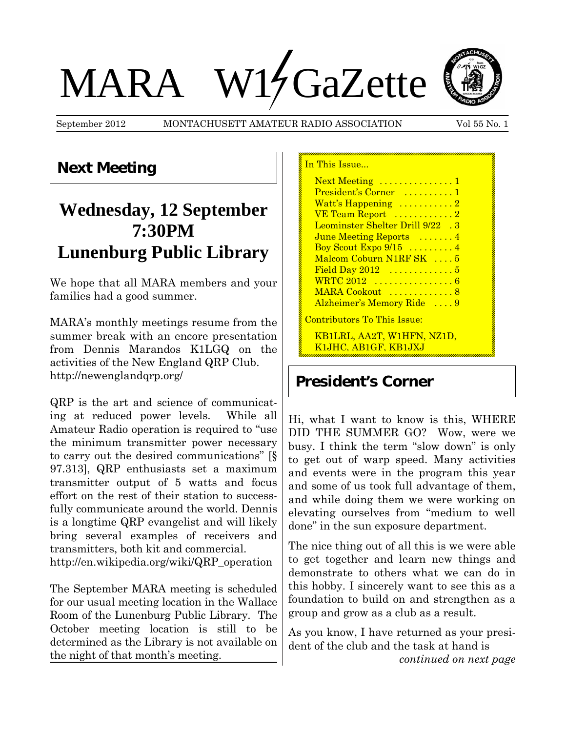# MARA W17GaZette



September 2012 MONTACHUSETT AMATEUR RADIO ASSOCIATION Vol 55 No. 1

## **Next Meeting**

# **Wednesday, 12 September 7:30PM Lunenburg Public Library**

We hope that all MARA members and your families had a good summer.

MARA's monthly meetings resume from the summer break with an encore presentation from Dennis Marandos K1LGQ on the activities of the New England QRP Club. http://newenglandqrp.org/

QRP is the art and science of communicating at reduced power levels. While all Amateur Radio operation is required to "use the minimum transmitter power necessary to carry out the desired communications" [§ 97.313], QRP enthusiasts set a maximum transmitter output of 5 watts and focus effort on the rest of their station to successfully communicate around the world. Dennis is a longtime QRP evangelist and will likely bring several examples of receivers and transmitters, both kit and commercial.

http://en.wikipedia.org/wiki/QRP\_operation

The September MARA meeting is scheduled for our usual meeting location in the Wallace Room of the Lunenburg Public Library. The October meeting location is still to be determined as the Library is not available on the night of that month's meeting.

| In This Issue                                      |
|----------------------------------------------------|
| Next Meeting 1                                     |
| President's Corner  1                              |
| Watt's Happening 2                                 |
| VE Team Report 2                                   |
| Leominster Shelter Drill 9/22 .3                   |
| June Meeting Reports  4                            |
| Boy Scout Expo $9/15$ 4                            |
| Malcom Coburn N1RF SK  5                           |
| Field Day $2012$ 5                                 |
| WRTC 2012  6                                       |
| MARA Cookout  8                                    |
| Alzheimer's Memory Ride  9                         |
| Contributors To This Issue:                        |
| KB1LRL, AA2T, W1HFN, NZ1D,<br>K1JHC, AB1GF, KB1JXJ |

## **President's Corner**

Hi, what I want to know is this, WHERE DID THE SUMMER GO? Wow, were we busy. I think the term "slow down" is only to get out of warp speed. Many activities and events were in the program this year and some of us took full advantage of them, and while doing them we were working on elevating ourselves from "medium to well done" in the sun exposure department.

The nice thing out of all this is we were able to get together and learn new things and demonstrate to others what we can do in this hobby. I sincerely want to see this as a foundation to build on and strengthen as a group and grow as a club as a result.

As you know, I have returned as your president of the club and the task at hand is *continued on next page*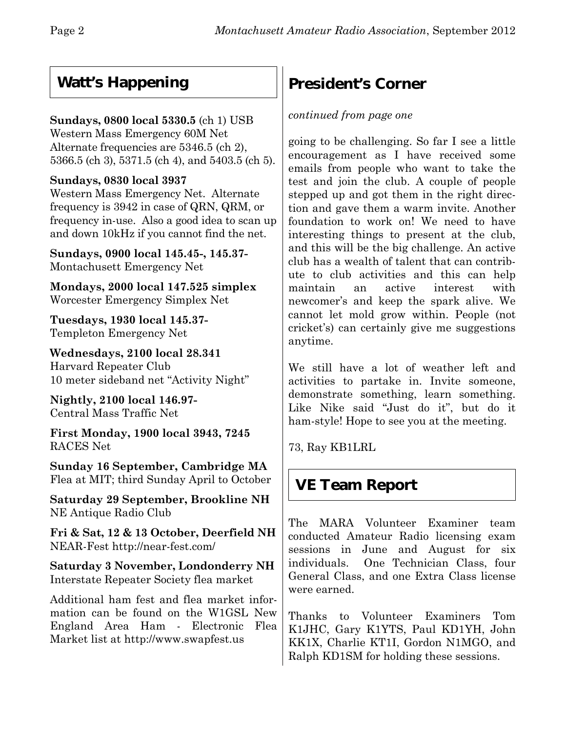# **Watt's Happening**

## **Sundays, 0800 local 5330.5** (ch 1) USB

Western Mass Emergency 60M Net Alternate frequencies are 5346.5 (ch 2), 5366.5 (ch 3), 5371.5 (ch 4), and 5403.5 (ch 5).

## **Sundays, 0830 local 3937**

Western Mass Emergency Net. Alternate frequency is 3942 in case of QRN, QRM, or frequency in-use. Also a good idea to scan up and down 10kHz if you cannot find the net.

**Sundays, 0900 local 145.45-, 145.37-** Montachusett Emergency Net

**Mondays, 2000 local 147.525 simplex** Worcester Emergency Simplex Net

**Tuesdays, 1930 local 145.37-** Templeton Emergency Net

**Wednesdays, 2100 local 28.341** Harvard Repeater Club 10 meter sideband net "Activity Night"

**Nightly, 2100 local 146.97-** Central Mass Traffic Net

**First Monday, 1900 local 3943, 7245** RACES Net

**Sunday 16 September, Cambridge MA** Flea at MIT; third Sunday April to October

**Saturday 29 September, Brookline NH** NE Antique Radio Club

**Fri & Sat, 12 & 13 October, Deerfield NH** NEAR-Fest http://near-fest.com/

**Saturday 3 November, Londonderry NH** Interstate Repeater Society flea market

Additional ham fest and flea market information can be found on the W1GSL New England Area Ham - Electronic Flea Market list at http://www.swapfest.us

# **President's Corner**

### *continued from page one*

going to be challenging. So far I see a little encouragement as I have received some emails from people who want to take the test and join the club. A couple of people stepped up and got them in the right direction and gave them a warm invite. Another foundation to work on! We need to have interesting things to present at the club, and this will be the big challenge. An active club has a wealth of talent that can contribute to club activities and this can help maintain an active interest with newcomer's and keep the spark alive. We cannot let mold grow within. People (not cricket's) can certainly give me suggestions anytime.

We still have a lot of weather left and activities to partake in. Invite someone, demonstrate something, learn something. Like Nike said "Just do it", but do it ham-style! Hope to see you at the meeting.

73, Ray KB1LRL

# **VE Team Report**

The MARA Volunteer Examiner team conducted Amateur Radio licensing exam sessions in June and August for six individuals. One Technician Class, four General Class, and one Extra Class license were earned.

Thanks to Volunteer Examiners Tom K1JHC, Gary K1YTS, Paul KD1YH, John KK1X, Charlie KT1I, Gordon N1MGO, and Ralph KD1SM for holding these sessions.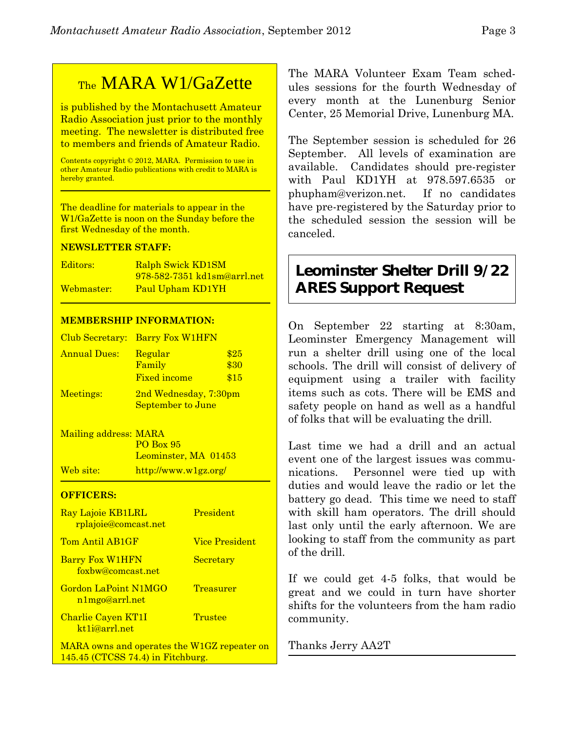# TheMARA W1/GaZette

is published by the Montachusett Amateur Radio Association just prior to the monthly meeting. The newsletter is distributed free to members and friends of Amateur Radio.

Contents copyright © 2012, MARA. Permission to use in other Amateur Radio publications with credit to MARA is hereby granted.

The deadline for materials to appear in the W1/GaZette is noon on the Sunday before the first Wednesday of the month.

#### **NEWSLETTER STAFF:**

| Editors:   | <b>Ralph Swick KD1SM</b>    |
|------------|-----------------------------|
|            | 978-582-7351 kd1sm@arrl.net |
| Webmaster: | Paul Upham KD1YH            |

#### **MEMBERSHIP INFORMATION:**

|                     | Club Secretary: Barry Fox W1HFN                   |                      |
|---------------------|---------------------------------------------------|----------------------|
| <b>Annual Dues:</b> | Regular<br>Family<br><b>Fixed income</b>          | \$25<br>\$30<br>\$15 |
| Meetings:           | 2nd Wednesday, 7:30pm<br><b>September to June</b> |                      |

Mailing address: MARA PO Box 95 Leominster, MA 01453 Web site: http://www.w1gz.org/

#### **OFFICERS:**

| <b>Ray Lajoie KB1LRL</b><br><u>rplajoie@comcast.net</u> | President             |  |
|---------------------------------------------------------|-----------------------|--|
| Tom Antil AB1GF                                         | <b>Vice President</b> |  |
| <b>Barry Fox W1HFN</b><br>foxbw@comcast.net             | <b>Secretary</b>      |  |
| <b>Gordon LaPoint N1MGO</b><br>n1mgo@arrl.net           | Treasurer             |  |
| <b>Charlie Cayen KT1I</b><br>kt1j@arrl.net              | Trustee               |  |
| MARA owns and operates the W1GZ repeater                |                       |  |

MARA owns and operates the W1GZ repeater on 145.45 (CTCSS 74.4) in Fitchburg.

The MARA Volunteer Exam Team schedules sessions for the fourth Wednesday of every month at the Lunenburg Senior Center, 25 Memorial Drive, Lunenburg MA.

The September session is scheduled for 26 September. All levels of examination are available. Candidates should pre-register with Paul KD1YH at 978.597.6535 or phupham@verizon.net.If no candidates have pre-registered by the Saturday prior to the scheduled session the session will be canceled.

## **Leominster Shelter Drill 9/22 ARES Support Request**

On September 22 starting at 8:30am, Leominster Emergency Management will run a shelter drill using one of the local schools. The drill will consist of delivery of equipment using a trailer with facility items such as cots. There will be EMS and safety people on hand as well as a handful of folks that will be evaluating the drill.

Last time we had a drill and an actual event one of the largest issues was communications. Personnel were tied up with duties and would leave the radio or let the battery go dead. This time we need to staff with skill ham operators. The drill should last only until the early afternoon. We are looking to staff from the community as part of the drill.

If we could get 4-5 folks, that would be great and we could in turn have shorter shifts for the volunteers from the ham radio community.

Thanks Jerry AA2T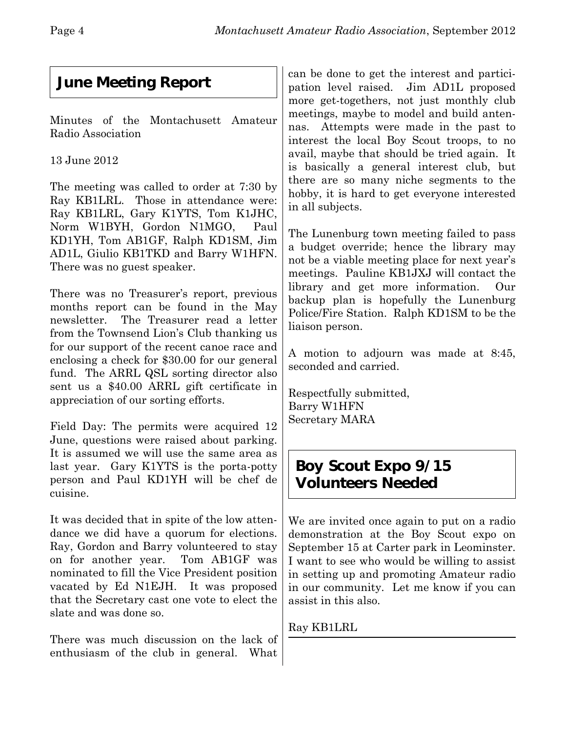# **June Meeting Report**

Minutes of the Montachusett Amateur Radio Association

13 June 2012

The meeting was called to order at 7:30 by Ray KB1LRL. Those in attendance were: Ray KB1LRL, Gary K1YTS, Tom K1JHC, Norm W1BYH, Gordon N1MGO, Paul KD1YH, Tom AB1GF, Ralph KD1SM, Jim AD1L, Giulio KB1TKD and Barry W1HFN. There was no guest speaker.

There was no Treasurer's report, previous months report can be found in the May newsletter. The Treasurer read a letter from the Townsend Lion's Club thanking us for our support of the recent canoe race and enclosing a check for \$30.00 for our general fund. The ARRL QSL sorting director also sent us a \$40.00 ARRL gift certificate in appreciation of our sorting efforts.

Field Day: The permits were acquired 12 June, questions were raised about parking. It is assumed we will use the same area as last year. Gary K1YTS is the porta-potty person and Paul KD1YH will be chef de cuisine.

It was decided that in spite of the low attendance we did have a quorum for elections. Ray, Gordon and Barry volunteered to stay on for another year. Tom AB1GF was nominated to fill the Vice President position vacated by Ed N1EJH. It was proposed that the Secretary cast one vote to elect the slate and was done so.

There was much discussion on the lack of enthusiasm of the club in general. What

can be done to get the interest and participation level raised. Jim AD1L proposed more get-togethers, not just monthly club meetings, maybe to model and build antennas. Attempts were made in the past to interest the local Boy Scout troops, to no avail, maybe that should be tried again. It is basically a general interest club, but there are so many niche segments to the hobby, it is hard to get everyone interested in all subjects.

The Lunenburg town meeting failed to pass a budget override; hence the library may not be a viable meeting place for next year's meetings. Pauline KB1JXJ will contact the library and get more information. Our backup plan is hopefully the Lunenburg Police/Fire Station. Ralph KD1SM to be the liaison person.

A motion to adjourn was made at 8:45, seconded and carried.

Respectfully submitted, Barry W1HFN Secretary MARA

## **Boy Scout Expo 9/15 Volunteers Needed**

We are invited once again to put on a radio demonstration at the Boy Scout expo on September 15 at Carter park in Leominster. I want to see who would be willing to assist in setting up and promoting Amateur radio in our community. Let me know if you can assist in this also.

Ray KB1LRL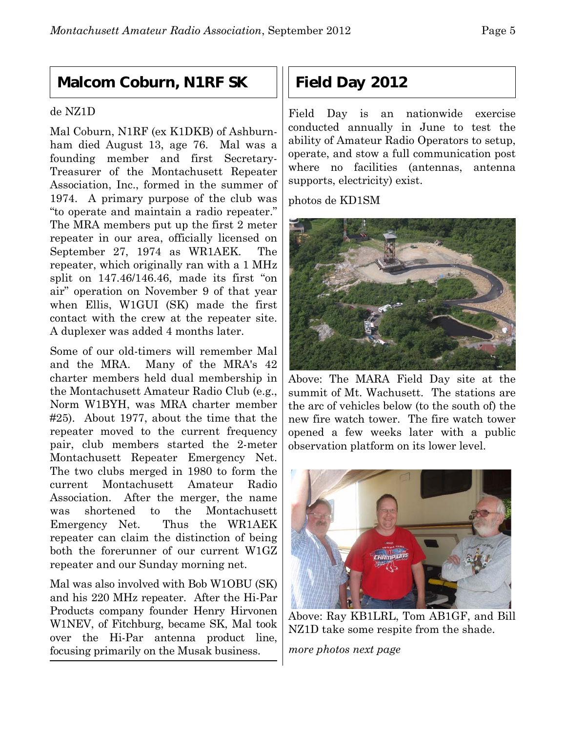## **Malcom Coburn, N1RF SK**

#### de NZ1D

Mal Coburn, N1RF (ex K1DKB) of Ashburnham died August 13, age 76. Mal was a founding member and first Secretary-Treasurer of the Montachusett Repeater Association, Inc., formed in the summer of 1974. A primary purpose of the club was "to operate and maintain a radio repeater." The MRA members put up the first 2 meter repeater in our area, officially licensed on September 27, 1974 as WR1AEK. The repeater, which originally ran with a 1 MHz split on 147.46/146.46, made its first "on air" operation on November 9 of that year when Ellis, W1GUI (SK) made the first contact with the crew at the repeater site. A duplexer was added 4 months later.

Some of our old-timers will remember Mal and the MRA. Many of the MRA's 42 charter members held dual membership in the Montachusett Amateur Radio Club (e.g., Norm W1BYH, was MRA charter member #25). About 1977, about the time that the repeater moved to the current frequency pair, club members started the 2-meter Montachusett Repeater Emergency Net. The two clubs merged in 1980 to form the current Montachusett Amateur Radio Association. After the merger, the name was shortened to the Montachusett Emergency Net. Thus the WR1AEK repeater can claim the distinction of being both the forerunner of our current W1GZ repeater and our Sunday morning net.

Mal was also involved with Bob W1OBU (SK) and his 220 MHz repeater. After the Hi-Par Products company founder Henry Hirvonen W1NEV, of Fitchburg, became SK, Mal took over the Hi-Par antenna product line, focusing primarily on the Musak business.

## **Field Day 2012**

Field Day is an nationwide exercise conducted annually in June to test the ability of Amateur Radio Operators to setup, operate, and stow a full communication post where no facilities (antennas, antenna supports, electricity) exist.

photos de KD1SM



Above: The MARA Field Day site at the summit of Mt. Wachusett. The stations are the arc of vehicles below (to the south of) the new fire watch tower. The fire watch tower opened a few weeks later with a public observation platform on its lower level.



Above: Ray KB1LRL, Tom AB1GF, and Bill NZ1D take some respite from the shade.

*more photos next page*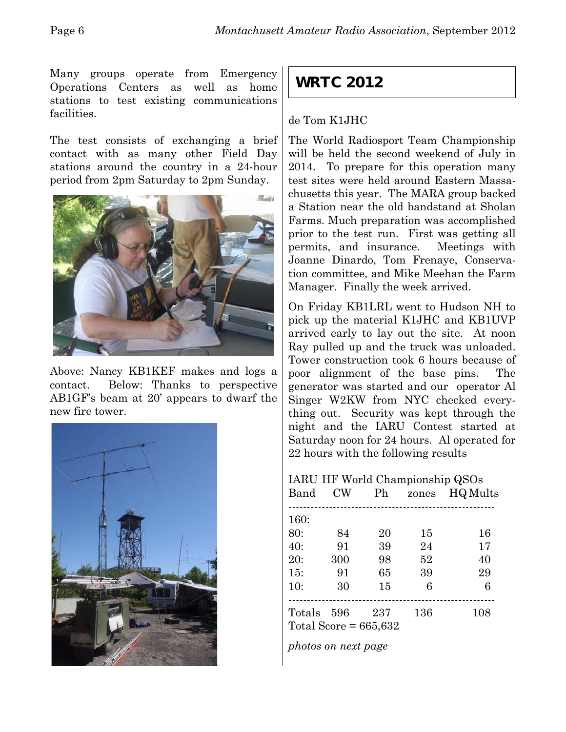Many groups operate from Emergency Operations Centers as well as home stations to test existing communications facilities.

The test consists of exchanging a brief contact with as many other Field Day stations around the country in a 24-hour period from 2pm Saturday to 2pm Sunday.



Above: Nancy KB1KEF makes and logs a contact. Below: Thanks to perspective AB1GF's beam at 20' appears to dwarf the new fire tower.



## **WRTC 2012**

#### de Tom K1JHC

The World Radiosport Team Championship will be held the second weekend of July in 2014. To prepare for this operation many test sites were held around Eastern Massachusetts this year. The MARA group backed a Station near the old bandstand at Sholan Farms. Much preparation was accomplished prior to the test run. First was getting all permits, and insurance. Meetings with Joanne Dinardo, Tom Frenaye, Conservation committee, and Mike Meehan the Farm Manager. Finally the week arrived.

On Friday KB1LRL went to Hudson NH to pick up the material K1JHC and KB1UVP arrived early to lay out the site. At noon Ray pulled up and the truck was unloaded. Tower construction took 6 hours because of poor alignment of the base pins. The generator was started and our operator Al Singer W2KW from NYC checked everything out. Security was kept through the night and the IARU Contest started at Saturday noon for 24 hours. Al operated for 22 hours with the following results

IARU HF World Championship QSOs Band CW Ph zones HQ Mults -------------------------------------------------------- 160: 80: 84 20 15 16 40: 91 39 24 17 20: 300 98 52 40 15: 91 65 39 29 10: 30 15 6 6 -------------------------------------------------------- Totals 596 237 136 108 Total Score =  $665,632$ 

*photos on next page*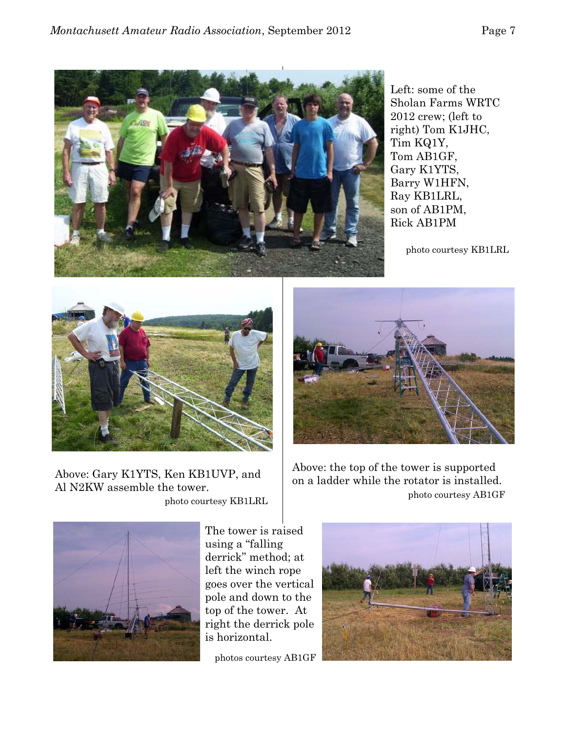

Left: some of the Sholan Farms WRTC 2012 crew; (left to right) Tom K1JHC, Tim KQ1Y, Tom AB1GF, Gary K1YTS, Barry W1HFN, Ray KB1LRL, son of AB1PM, Rick AB1PM

photo courtesy KB1LRL



Above: Gary K1YTS, Ken KB1UVP, and Al N2KW assemble the tower.

photo courtesy KB1LRL



Above: the top of the tower is supported on a ladder while the rotator is installed. photo courtesy AB1GF



The tower is raised using a "falling derrick" method; at left the winch rope goes over the vertical pole and down to the top of the tower. At right the derrick pole is horizontal.

photos courtesy AB1GF

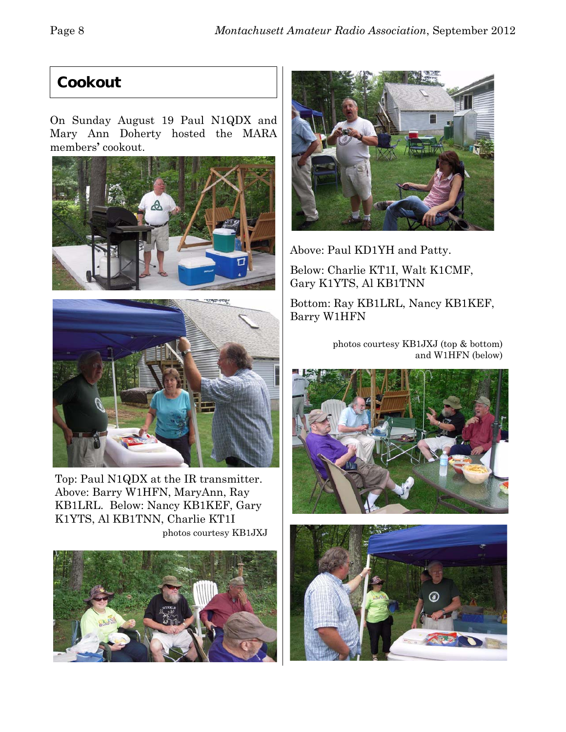## **Cookout**

On Sunday August 19 Paul N1QDX and Mary Ann Doherty hosted the MARA members**'** cookout.





Top: Paul N1QDX at the IR transmitter. Above: Barry W1HFN, MaryAnn, Ray KB1LRL. Below: Nancy KB1KEF, Gary K1YTS, Al KB1TNN, Charlie KT1I photos courtesy KB1JXJ





Above: Paul KD1YH and Patty.

Below: Charlie KT1I, Walt K1CMF, Gary K1YTS, Al KB1TNN

Bottom: Ray KB1LRL, Nancy KB1KEF, Barry W1HFN

> photos courtesy KB1JXJ (top & bottom) and W1HFN (below)



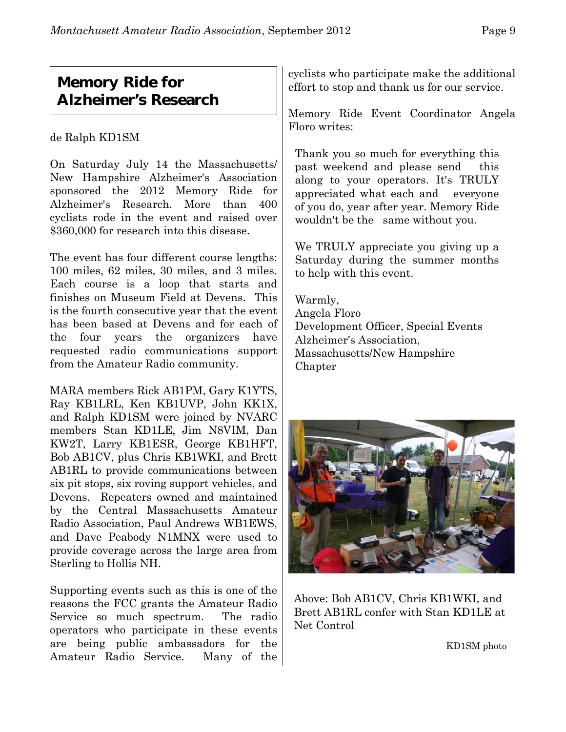## **Memory Ride for Alzheimer's Research**

de Ralph KD1SM

On Saturday July 14 the Massachusetts/ New Hampshire Alzheimer's Association sponsored the 2012 Memory Ride for Alzheimer's Research. More than 400 cyclists rode in the event and raised over \$360,000 for research into this disease.

The event has four different course lengths: 100 miles, 62 miles, 30 miles, and 3 miles. Each course is a loop that starts and finishes on Museum Field at Devens. This is the fourth consecutive year that the event has been based at Devens and for each of the four years the organizers have requested radio communications support from the Amateur Radio community.

MARA members Rick AB1PM, Gary K1YTS, Ray KB1LRL, Ken KB1UVP, John KK1X, and Ralph KD1SM were joined by NVARC members Stan KD1LE, Jim N8VIM, Dan KW2T, Larry KB1ESR, George KB1HFT, Bob AB1CV, plus Chris KB1WKI, and Brett AB1RL to provide communications between six pit stops, six roving support vehicles, and Devens. Repeaters owned and maintained by the Central Massachusetts Amateur Radio Association, Paul Andrews WB1EWS, and Dave Peabody N1MNX were used to provide coverage across the large area from Sterling to Hollis NH.

Supporting events such as this is one of the reasons the FCC grants the Amateur Radio Service so much spectrum. The radio operators who participate in these events are being public ambassadors for the Amateur Radio Service. Many of the cyclists who participate make the additional effort to stop and thank us for our service.

Memory Ride Event Coordinator Angela Floro writes:

Thank you so much for everything this past weekend and please send this along to your operators. It's TRULY appreciated what each and everyone of you do, year after year. Memory Ride wouldn't be the same without you.

We TRULY appreciate you giving up a Saturday during the summer months to help with this event.

Warmly, Angela Floro Development Officer, Special Events Alzheimer's Association, Massachusetts/New Hampshire Chapter



Above: Bob AB1CV, Chris KB1WKI, and Brett AB1RL confer with Stan KD1LE at Net Control

KD1SM photo